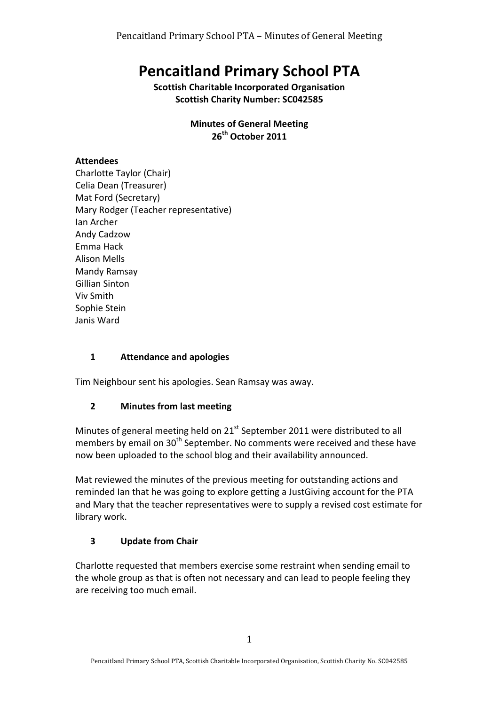# **Pencaitland Primary School PTA**

**Scottish Charitable Incorporated Organisation Scottish Charity Number: SC042585** 

> **Minutes of General Meeting** 26<sup>th</sup> October 2011

# **Attendees**

Charlotte Taylor (Chair) Celia Dean (Treasurer) Mat Ford (Secretary) Mary Rodger (Teacher representative) Ian Archer Andy Cadzow Emma Hack Alison Mells Mandy Ramsay Gillian Sinton Viv Smith Sophie Stein Janis Ward

## 1 **Attendance and apologies**

Tim Neighbour sent his apologies. Sean Ramsay was away.

#### **2 Minutes from last meeting**

Minutes of general meeting held on  $21<sup>st</sup>$  September 2011 were distributed to all members by email on  $30<sup>th</sup>$  September. No comments were received and these have now been uploaded to the school blog and their availability announced.

Mat reviewed the minutes of the previous meeting for outstanding actions and reminded Ian that he was going to explore getting a JustGiving account for the PTA and Mary that the teacher representatives were to supply a revised cost estimate for library work.

# **3 Update from Chair**

Charlotte requested that members exercise some restraint when sending email to the whole group as that is often not necessary and can lead to people feeling they are receiving too much email.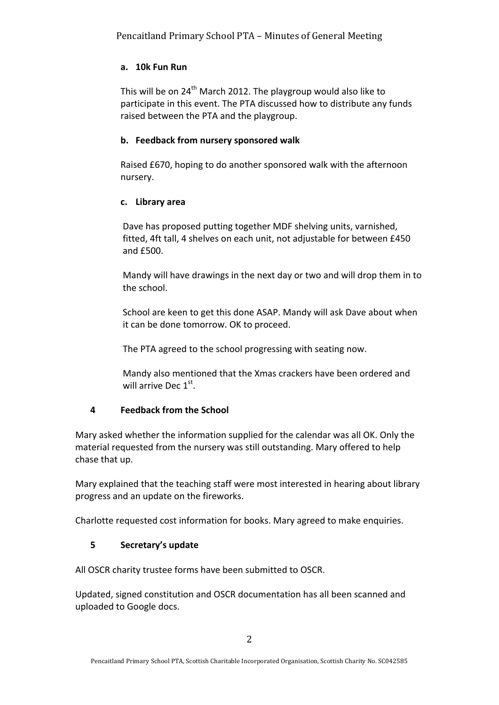## **a. 10k Fun Run**

This will be on  $24^{th}$  March 2012. The playgroup would also like to participate in this event. The PTA discussed how to distribute any funds raised between the PTA and the playgroup.

#### **b. Feedback from nursery sponsored walk**

Raised £670, hoping to do another sponsored walk with the afternoon nursery.

#### **c. Library area**

Dave has proposed putting together MDF shelving units, varnished, fitted, 4ft tall, 4 shelves on each unit, not adjustable for between £450 and £500.

Mandy will have drawings in the next day or two and will drop them in to the school.

School are keen to get this done ASAP. Mandy will ask Dave about when it can be done tomorrow. OK to proceed.

The PTA agreed to the school progressing with seating now.

Mandy also mentioned that the Xmas crackers have been ordered and will arrive Dec  $1<sup>st</sup>$ .

# **4 Feedback from the School**

Mary asked whether the information supplied for the calendar was all OK. Only the material requested from the nursery was still outstanding. Mary offered to help chase that up.

Mary explained that the teaching staff were most interested in hearing about library progress and an update on the fireworks.

Charlotte requested cost information for books. Mary agreed to make enquiries.

# **5 Secretary's update**

All OSCR charity trustee forms have been submitted to OSCR.

Updated, signed constitution and OSCR documentation has all been scanned and uploaded to Google docs.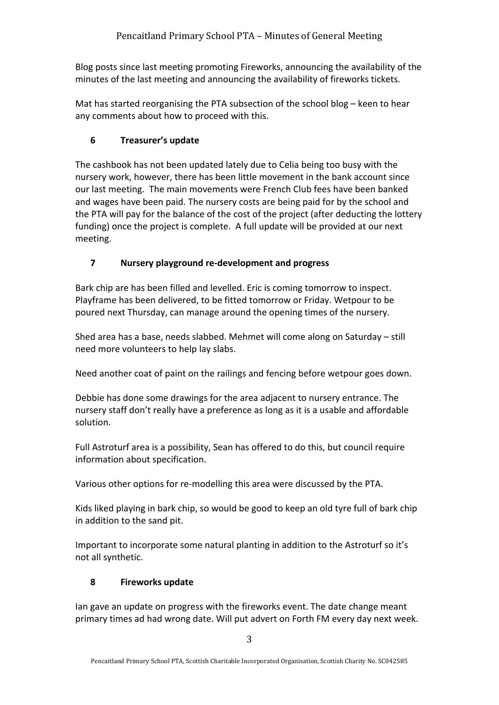Blog posts since last meeting promoting Fireworks, announcing the availability of the minutes of the last meeting and announcing the availability of fireworks tickets.

Mat has started reorganising the PTA subsection of the school blog – keen to hear any comments about how to proceed with this.

# **6 Treasurer's update**

The cashbook has not been updated lately due to Celia being too busy with the nursery work, however, there has been little movement in the bank account since our last meeting. The main movements were French Club fees have been banked and wages have been paid. The nursery costs are being paid for by the school and the PTA will pay for the balance of the cost of the project (after deducting the lottery funding) once the project is complete. A full update will be provided at our next meeting.

# **7 Nursery playground re-development and progress**

Bark chip are has been filled and levelled. Eric is coming tomorrow to inspect. Playframe has been delivered, to be fitted tomorrow or Friday. Wetpour to be poured next Thursday, can manage around the opening times of the nursery.

Shed area has a base, needs slabbed. Mehmet will come along on Saturday – still need more volunteers to help lay slabs.

Need another coat of paint on the railings and fencing before wetpour goes down.

Debbie has done some drawings for the area adjacent to nursery entrance. The nursery staff don't really have a preference as long as it is a usable and affordable solution.

Full Astroturf area is a possibility, Sean has offered to do this, but council require information about specification.

Various other options for re-modelling this area were discussed by the PTA.

Kids liked playing in bark chip, so would be good to keep an old tyre full of bark chip in addition to the sand pit.

Important to incorporate some natural planting in addition to the Astroturf so it's not all synthetic.

# **8 Fireworks update**

lan gave an update on progress with the fireworks event. The date change meant primary times ad had wrong date. Will put advert on Forth FM every day next week.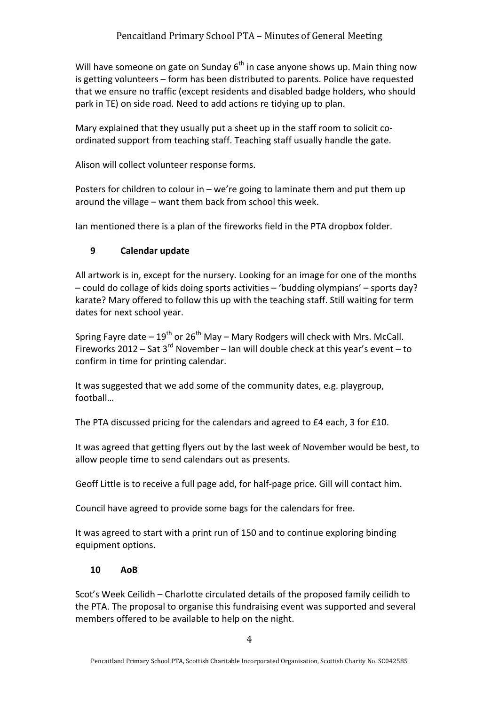Will have someone on gate on Sunday  $6<sup>th</sup>$  in case anyone shows up. Main thing now is getting volunteers – form has been distributed to parents. Police have requested that we ensure no traffic (except residents and disabled badge holders, who should park in TE) on side road. Need to add actions re tidying up to plan.

Mary explained that they usually put a sheet up in the staff room to solicit coordinated support from teaching staff. Teaching staff usually handle the gate.

Alison will collect volunteer response forms.

Posters for children to colour in – we're going to laminate them and put them up around the village  $-$  want them back from school this week.

Ian mentioned there is a plan of the fireworks field in the PTA dropbox folder.

#### **9 Calendar update**

All artwork is in, except for the nursery. Looking for an image for one of the months  $-$  could do collage of kids doing sports activities  $-$  'budding olympians'  $-$  sports day? karate? Mary offered to follow this up with the teaching staff. Still waiting for term dates for next school year.

Spring Fayre date  $-19^{th}$  or  $26^{th}$  May – Mary Rodgers will check with Mrs. McCall. Fireworks  $2012 -$  Sat  $3^{rd}$  November – Ian will double check at this year's event – to confirm in time for printing calendar.

It was suggested that we add some of the community dates, e.g. playgroup, football…

The PTA discussed pricing for the calendars and agreed to £4 each, 3 for £10.

It was agreed that getting flyers out by the last week of November would be best, to allow people time to send calendars out as presents.

Geoff Little is to receive a full page add, for half-page price. Gill will contact him.

Council have agreed to provide some bags for the calendars for free.

It was agreed to start with a print run of 150 and to continue exploring binding equipment options.

#### **10 AoB**

Scot's Week Ceilidh – Charlotte circulated details of the proposed family ceilidh to the PTA. The proposal to organise this fundraising event was supported and several members offered to be available to help on the night.